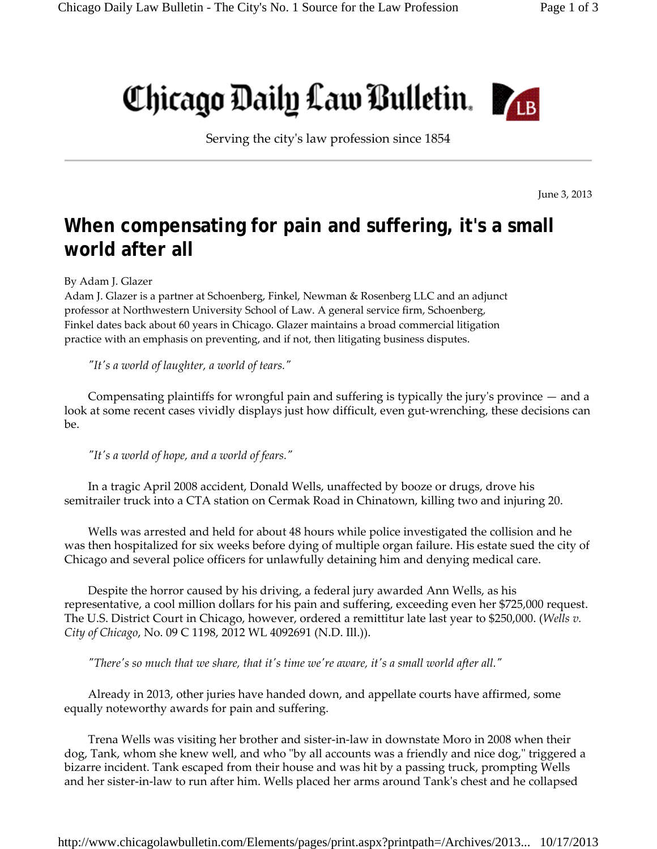## Chicago Daily Law Bulletin.



Serving the cityʹs law profession since 1854

June 3, 2013

## **When compensating for pain and suffering, it's a small world after all**

## By Adam J. Glazer

Adam J. Glazer is a partner at Schoenberg, Finkel, Newman & Rosenberg LLC and an adjunct professor at Northwestern University School of Law. A general service firm, Schoenberg, Finkel dates back about 60 years in Chicago. Glazer maintains a broad commercial litigation practice with an emphasis on preventing, and if not, then litigating business disputes.

*ʺItʹs a world of laughter, a world of tears.ʺ*

Compensating plaintiffs for wrongful pain and suffering is typically the juryʹs province — and a look at some recent cases vividly displays just how difficult, even gut-wrenching, these decisions can be.

*ʺItʹs a world of hope, and a world of fears.ʺ*

In a tragic April 2008 accident, Donald Wells, unaffected by booze or drugs, drove his semitrailer truck into a CTA station on Cermak Road in Chinatown, killing two and injuring 20.

Wells was arrested and held for about 48 hours while police investigated the collision and he was then hospitalized for six weeks before dying of multiple organ failure. His estate sued the city of Chicago and several police officers for unlawfully detaining him and denying medical care.

Despite the horror caused by his driving, a federal jury awarded Ann Wells, as his representative, a cool million dollars for his pain and suffering, exceeding even her \$725,000 request. The U.S. District Court in Chicago, however, ordered a remittitur late last year to \$250,000. (*Wells v. City of Chicago*, No. 09 C 1198, 2012 WL 4092691 (N.D. Ill.)).

"There's so much that we share, that it's time we're aware, it's a small world after all."

Already in 2013, other juries have handed down, and appellate courts have affirmed, some equally noteworthy awards for pain and suffering.

Trena Wells was visiting her brother and sister‐in‐law in downstate Moro in 2008 when their dog, Tank, whom she knew well, and who "by all accounts was a friendly and nice dog," triggered a bizarre incident. Tank escaped from their house and was hit by a passing truck, prompting Wells and her sister‐in‐law to run after him. Wells placed her arms around Tankʹs chest and he collapsed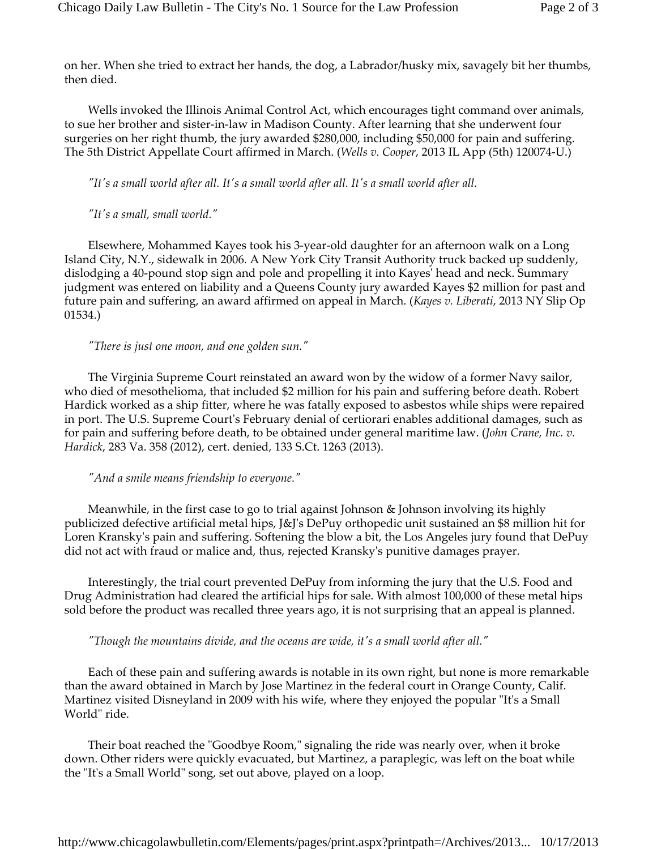on her. When she tried to extract her hands, the dog, a Labrador/husky mix, savagely bit her thumbs, then died.

Wells invoked the Illinois Animal Control Act, which encourages tight command over animals, to sue her brother and sister‐in‐law in Madison County. After learning that she underwent four surgeries on her right thumb, the jury awarded \$280,000, including \$50,000 for pain and suffering. The 5th District Appellate Court affirmed in March. (*Wells v. Cooper*, 2013 IL App (5th) 120074‐U.)

"It's a small world after all. It's a small world after all. It's a small world after all.

*ʺItʹs a small, small world.ʺ*

Elsewhere, Mohammed Kayes took his 3‐year‐old daughter for an afternoon walk on a Long Island City, N.Y., sidewalk in 2006. A New York City Transit Authority truck backed up suddenly, dislodging a 40‐pound stop sign and pole and propelling it into Kayesʹ head and neck. Summary judgment was entered on liability and a Queens County jury awarded Kayes \$2 million for past and future pain and suffering, an award affirmed on appeal in March. (*Kayes v. Liberati*, 2013 NY Slip Op 01534.)

*ʺThere is just one moon, and one golden sun.ʺ*

The Virginia Supreme Court reinstated an award won by the widow of a former Navy sailor, who died of mesothelioma, that included \$2 million for his pain and suffering before death. Robert Hardick worked as a ship fitter, where he was fatally exposed to asbestos while ships were repaired in port. The U.S. Supreme Courtʹs February denial of certiorari enables additional damages, such as for pain and suffering before death, to be obtained under general maritime law. (*John Crane, Inc. v. Hardick*, 283 Va. 358 (2012), cert. denied, 133 S.Ct. 1263 (2013).

*ʺAnd a smile means friendship to everyone.ʺ*

Meanwhile, in the first case to go to trial against Johnson & Johnson involving its highly publicized defective artificial metal hips, J&Jʹs DePuy orthopedic unit sustained an \$8 million hit for Loren Kranskyʹs pain and suffering. Softening the blow a bit, the Los Angeles jury found that DePuy did not act with fraud or malice and, thus, rejected Kranskyʹs punitive damages prayer.

Interestingly, the trial court prevented DePuy from informing the jury that the U.S. Food and Drug Administration had cleared the artificial hips for sale. With almost 100,000 of these metal hips sold before the product was recalled three years ago, it is not surprising that an appeal is planned.

*ʺThough the mountains divide, and the oceans are wide, itʹs a small world after all.ʺ*

Each of these pain and suffering awards is notable in its own right, but none is more remarkable than the award obtained in March by Jose Martinez in the federal court in Orange County, Calif. Martinez visited Disneyland in 2009 with his wife, where they enjoyed the popular "It's a Small World" ride.

Their boat reached the "Goodbye Room," signaling the ride was nearly over, when it broke down. Other riders were quickly evacuated, but Martinez, a paraplegic, was left on the boat while the "It's a Small World" song, set out above, played on a loop.